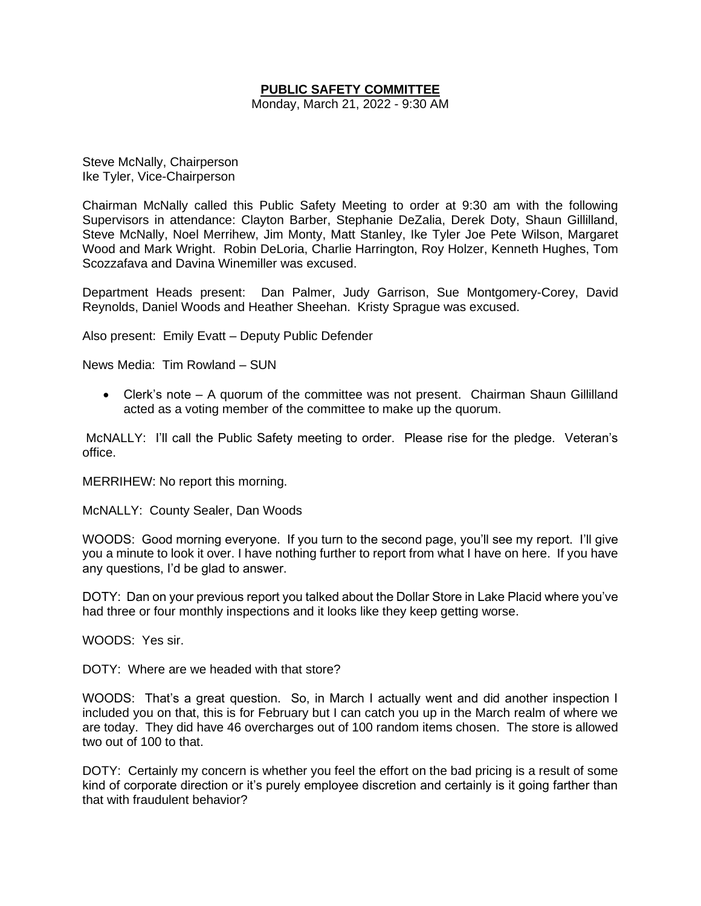# **PUBLIC SAFETY COMMITTEE**

Monday, March 21, 2022 - 9:30 AM

Steve McNally, Chairperson Ike Tyler, Vice-Chairperson

Chairman McNally called this Public Safety Meeting to order at 9:30 am with the following Supervisors in attendance: Clayton Barber, Stephanie DeZalia, Derek Doty, Shaun Gillilland, Steve McNally, Noel Merrihew, Jim Monty, Matt Stanley, Ike Tyler Joe Pete Wilson, Margaret Wood and Mark Wright. Robin DeLoria, Charlie Harrington, Roy Holzer, Kenneth Hughes, Tom Scozzafava and Davina Winemiller was excused.

Department Heads present: Dan Palmer, Judy Garrison, Sue Montgomery-Corey, David Reynolds, Daniel Woods and Heather Sheehan. Kristy Sprague was excused.

Also present: Emily Evatt – Deputy Public Defender

News Media: Tim Rowland – SUN

• Clerk's note – A quorum of the committee was not present. Chairman Shaun Gillilland acted as a voting member of the committee to make up the quorum.

McNALLY: I'll call the Public Safety meeting to order. Please rise for the pledge. Veteran's office.

MERRIHEW: No report this morning.

McNALLY: County Sealer, Dan Woods

WOODS: Good morning everyone. If you turn to the second page, you'll see my report. I'll give you a minute to look it over. I have nothing further to report from what I have on here. If you have any questions, I'd be glad to answer.

DOTY: Dan on your previous report you talked about the Dollar Store in Lake Placid where you've had three or four monthly inspections and it looks like they keep getting worse.

WOODS: Yes sir.

DOTY: Where are we headed with that store?

WOODS: That's a great question. So, in March I actually went and did another inspection I included you on that, this is for February but I can catch you up in the March realm of where we are today. They did have 46 overcharges out of 100 random items chosen. The store is allowed two out of 100 to that.

DOTY: Certainly my concern is whether you feel the effort on the bad pricing is a result of some kind of corporate direction or it's purely employee discretion and certainly is it going farther than that with fraudulent behavior?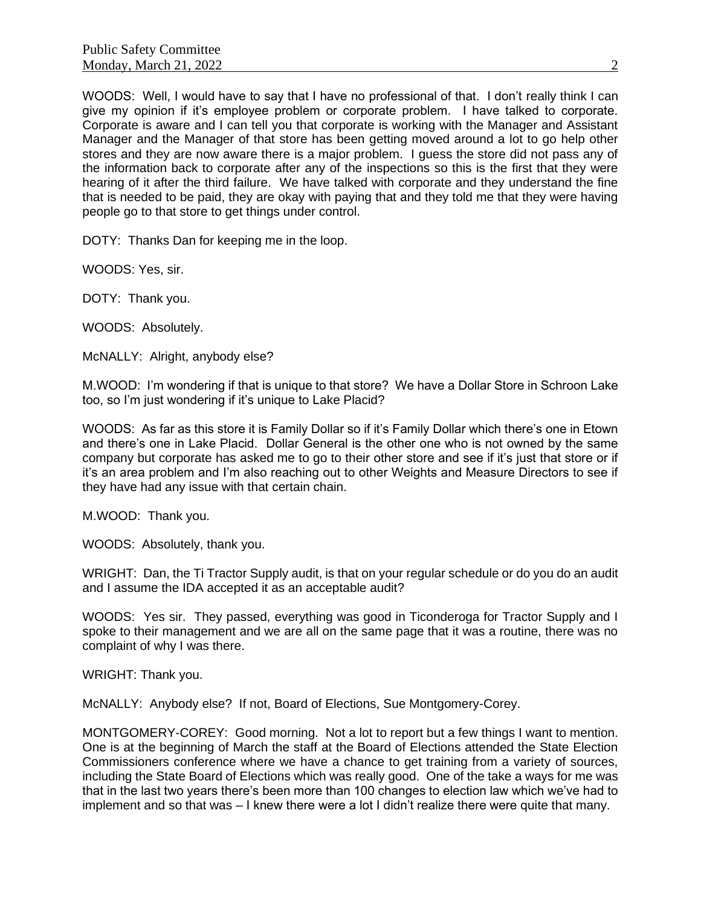WOODS: Well, I would have to say that I have no professional of that. I don't really think I can give my opinion if it's employee problem or corporate problem. I have talked to corporate. Corporate is aware and I can tell you that corporate is working with the Manager and Assistant Manager and the Manager of that store has been getting moved around a lot to go help other stores and they are now aware there is a major problem. I guess the store did not pass any of the information back to corporate after any of the inspections so this is the first that they were hearing of it after the third failure. We have talked with corporate and they understand the fine that is needed to be paid, they are okay with paying that and they told me that they were having people go to that store to get things under control.

DOTY: Thanks Dan for keeping me in the loop.

WOODS: Yes, sir.

DOTY: Thank you.

WOODS: Absolutely.

McNALLY: Alright, anybody else?

M.WOOD: I'm wondering if that is unique to that store? We have a Dollar Store in Schroon Lake too, so I'm just wondering if it's unique to Lake Placid?

WOODS: As far as this store it is Family Dollar so if it's Family Dollar which there's one in Etown and there's one in Lake Placid. Dollar General is the other one who is not owned by the same company but corporate has asked me to go to their other store and see if it's just that store or if it's an area problem and I'm also reaching out to other Weights and Measure Directors to see if they have had any issue with that certain chain.

M.WOOD: Thank you.

WOODS: Absolutely, thank you.

WRIGHT: Dan, the Ti Tractor Supply audit, is that on your regular schedule or do you do an audit and I assume the IDA accepted it as an acceptable audit?

WOODS: Yes sir. They passed, everything was good in Ticonderoga for Tractor Supply and I spoke to their management and we are all on the same page that it was a routine, there was no complaint of why I was there.

WRIGHT: Thank you.

McNALLY: Anybody else? If not, Board of Elections, Sue Montgomery-Corey.

MONTGOMERY-COREY: Good morning. Not a lot to report but a few things I want to mention. One is at the beginning of March the staff at the Board of Elections attended the State Election Commissioners conference where we have a chance to get training from a variety of sources, including the State Board of Elections which was really good. One of the take a ways for me was that in the last two years there's been more than 100 changes to election law which we've had to implement and so that was – I knew there were a lot I didn't realize there were quite that many.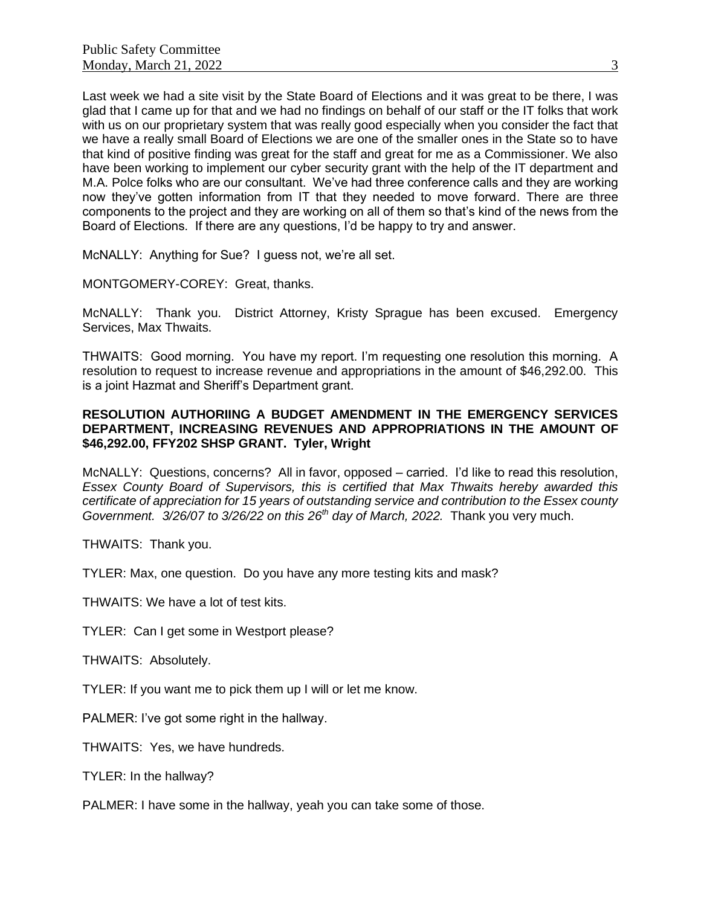Last week we had a site visit by the State Board of Elections and it was great to be there, I was glad that I came up for that and we had no findings on behalf of our staff or the IT folks that work with us on our proprietary system that was really good especially when you consider the fact that we have a really small Board of Elections we are one of the smaller ones in the State so to have that kind of positive finding was great for the staff and great for me as a Commissioner. We also have been working to implement our cyber security grant with the help of the IT department and M.A. Polce folks who are our consultant. We've had three conference calls and they are working now they've gotten information from IT that they needed to move forward. There are three components to the project and they are working on all of them so that's kind of the news from the Board of Elections. If there are any questions, I'd be happy to try and answer.

McNALLY: Anything for Sue? I guess not, we're all set.

MONTGOMERY-COREY: Great, thanks.

McNALLY: Thank you. District Attorney, Kristy Sprague has been excused. Emergency Services, Max Thwaits.

THWAITS: Good morning. You have my report. I'm requesting one resolution this morning. A resolution to request to increase revenue and appropriations in the amount of \$46,292.00. This is a joint Hazmat and Sheriff's Department grant.

### **RESOLUTION AUTHORIING A BUDGET AMENDMENT IN THE EMERGENCY SERVICES DEPARTMENT, INCREASING REVENUES AND APPROPRIATIONS IN THE AMOUNT OF \$46,292.00, FFY202 SHSP GRANT. Tyler, Wright**

McNALLY: Questions, concerns? All in favor, opposed – carried. I'd like to read this resolution, *Essex County Board of Supervisors, this is certified that Max Thwaits hereby awarded this certificate of appreciation for 15 years of outstanding service and contribution to the Essex county Government. 3/26/07 to 3/26/22 on this 26th day of March, 2022.* Thank you very much.

THWAITS: Thank you.

TYLER: Max, one question. Do you have any more testing kits and mask?

THWAITS: We have a lot of test kits.

TYLER: Can I get some in Westport please?

THWAITS: Absolutely.

TYLER: If you want me to pick them up I will or let me know.

PALMER: I've got some right in the hallway.

THWAITS: Yes, we have hundreds.

TYLER: In the hallway?

PALMER: I have some in the hallway, yeah you can take some of those.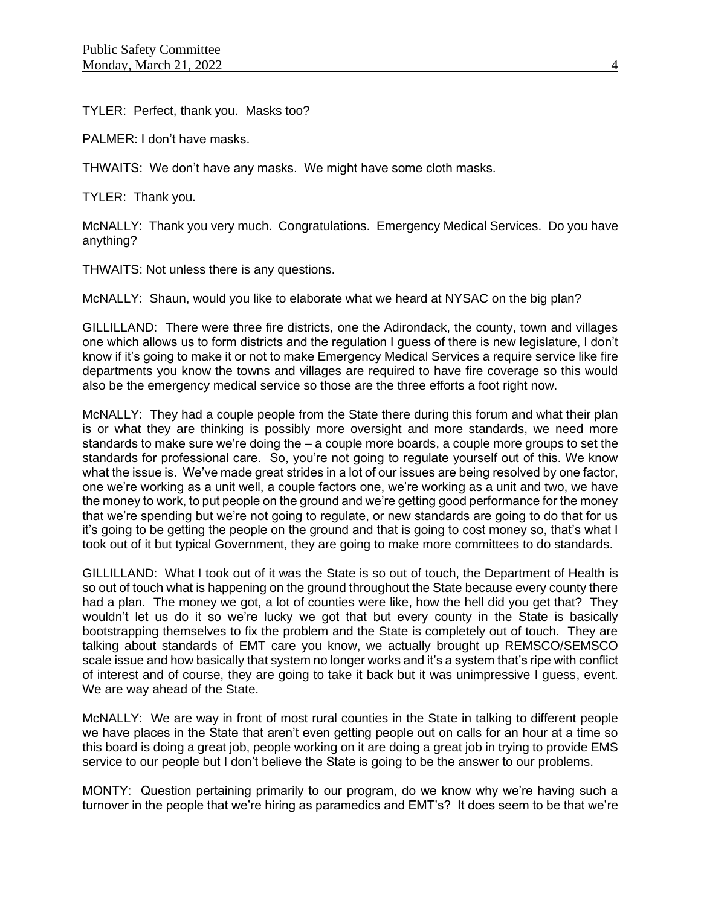TYLER: Perfect, thank you. Masks too?

PALMER: I don't have masks.

THWAITS: We don't have any masks. We might have some cloth masks.

TYLER: Thank you.

McNALLY: Thank you very much. Congratulations. Emergency Medical Services. Do you have anything?

THWAITS: Not unless there is any questions.

McNALLY: Shaun, would you like to elaborate what we heard at NYSAC on the big plan?

GILLILLAND: There were three fire districts, one the Adirondack, the county, town and villages one which allows us to form districts and the regulation I guess of there is new legislature, I don't know if it's going to make it or not to make Emergency Medical Services a require service like fire departments you know the towns and villages are required to have fire coverage so this would also be the emergency medical service so those are the three efforts a foot right now.

McNALLY: They had a couple people from the State there during this forum and what their plan is or what they are thinking is possibly more oversight and more standards, we need more standards to make sure we're doing the  $-$  a couple more boards, a couple more groups to set the standards for professional care. So, you're not going to regulate yourself out of this. We know what the issue is. We've made great strides in a lot of our issues are being resolved by one factor, one we're working as a unit well, a couple factors one, we're working as a unit and two, we have the money to work, to put people on the ground and we're getting good performance for the money that we're spending but we're not going to regulate, or new standards are going to do that for us it's going to be getting the people on the ground and that is going to cost money so, that's what I took out of it but typical Government, they are going to make more committees to do standards.

GILLILLAND: What I took out of it was the State is so out of touch, the Department of Health is so out of touch what is happening on the ground throughout the State because every county there had a plan. The money we got, a lot of counties were like, how the hell did you get that? They wouldn't let us do it so we're lucky we got that but every county in the State is basically bootstrapping themselves to fix the problem and the State is completely out of touch. They are talking about standards of EMT care you know, we actually brought up REMSCO/SEMSCO scale issue and how basically that system no longer works and it's a system that's ripe with conflict of interest and of course, they are going to take it back but it was unimpressive I guess, event. We are way ahead of the State.

McNALLY: We are way in front of most rural counties in the State in talking to different people we have places in the State that aren't even getting people out on calls for an hour at a time so this board is doing a great job, people working on it are doing a great job in trying to provide EMS service to our people but I don't believe the State is going to be the answer to our problems.

MONTY: Question pertaining primarily to our program, do we know why we're having such a turnover in the people that we're hiring as paramedics and EMT's? It does seem to be that we're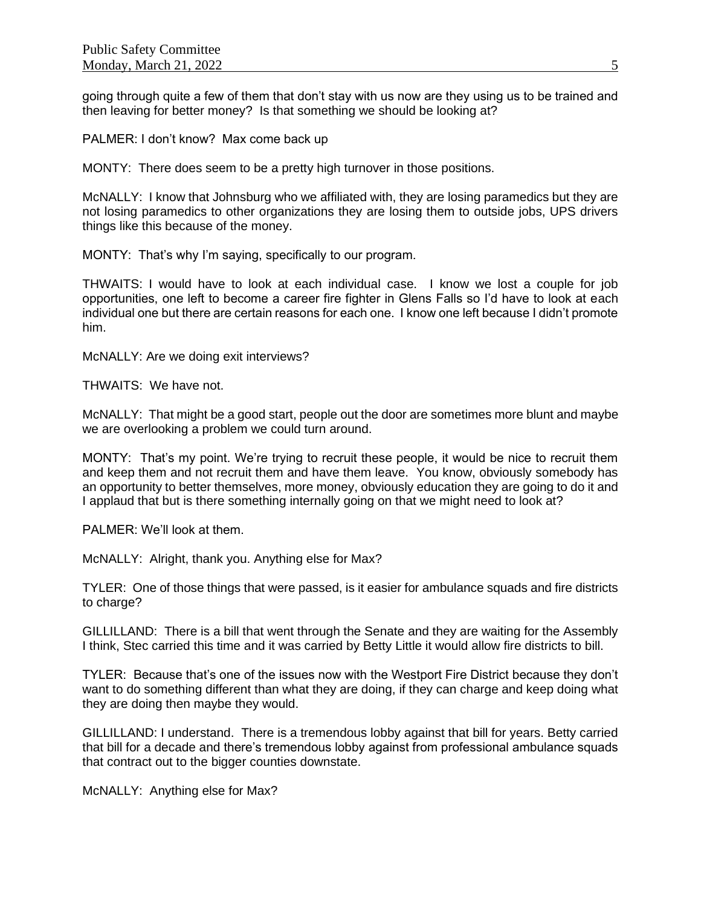going through quite a few of them that don't stay with us now are they using us to be trained and then leaving for better money? Is that something we should be looking at?

PALMER: I don't know? Max come back up

MONTY: There does seem to be a pretty high turnover in those positions.

McNALLY: I know that Johnsburg who we affiliated with, they are losing paramedics but they are not losing paramedics to other organizations they are losing them to outside jobs, UPS drivers things like this because of the money.

MONTY: That's why I'm saying, specifically to our program.

THWAITS: I would have to look at each individual case. I know we lost a couple for job opportunities, one left to become a career fire fighter in Glens Falls so I'd have to look at each individual one but there are certain reasons for each one. I know one left because I didn't promote him.

McNALLY: Are we doing exit interviews?

THWAITS: We have not.

McNALLY: That might be a good start, people out the door are sometimes more blunt and maybe we are overlooking a problem we could turn around.

MONTY: That's my point. We're trying to recruit these people, it would be nice to recruit them and keep them and not recruit them and have them leave. You know, obviously somebody has an opportunity to better themselves, more money, obviously education they are going to do it and I applaud that but is there something internally going on that we might need to look at?

PALMER: We'll look at them.

McNALLY: Alright, thank you. Anything else for Max?

TYLER: One of those things that were passed, is it easier for ambulance squads and fire districts to charge?

GILLILLAND: There is a bill that went through the Senate and they are waiting for the Assembly I think, Stec carried this time and it was carried by Betty Little it would allow fire districts to bill.

TYLER: Because that's one of the issues now with the Westport Fire District because they don't want to do something different than what they are doing, if they can charge and keep doing what they are doing then maybe they would.

GILLILLAND: I understand. There is a tremendous lobby against that bill for years. Betty carried that bill for a decade and there's tremendous lobby against from professional ambulance squads that contract out to the bigger counties downstate.

McNALLY: Anything else for Max?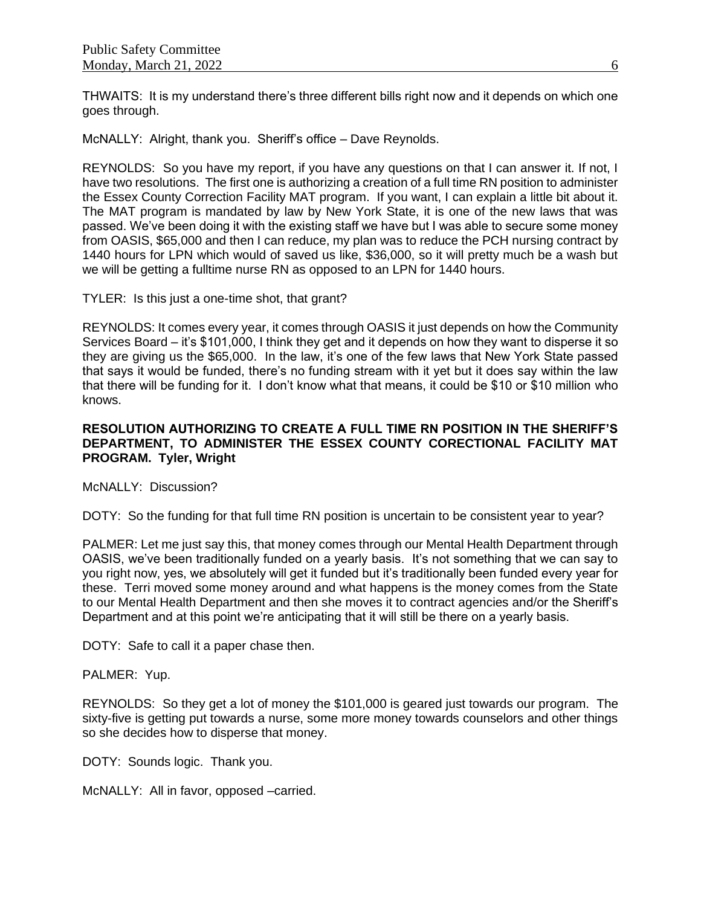THWAITS: It is my understand there's three different bills right now and it depends on which one goes through.

McNALLY: Alright, thank you. Sheriff's office – Dave Reynolds.

REYNOLDS: So you have my report, if you have any questions on that I can answer it. If not, I have two resolutions. The first one is authorizing a creation of a full time RN position to administer the Essex County Correction Facility MAT program. If you want, I can explain a little bit about it. The MAT program is mandated by law by New York State, it is one of the new laws that was passed. We've been doing it with the existing staff we have but I was able to secure some money from OASIS, \$65,000 and then I can reduce, my plan was to reduce the PCH nursing contract by 1440 hours for LPN which would of saved us like, \$36,000, so it will pretty much be a wash but we will be getting a fulltime nurse RN as opposed to an LPN for 1440 hours.

TYLER: Is this just a one-time shot, that grant?

REYNOLDS: It comes every year, it comes through OASIS it just depends on how the Community Services Board – it's \$101,000, I think they get and it depends on how they want to disperse it so they are giving us the \$65,000. In the law, it's one of the few laws that New York State passed that says it would be funded, there's no funding stream with it yet but it does say within the law that there will be funding for it. I don't know what that means, it could be \$10 or \$10 million who knows.

# **RESOLUTION AUTHORIZING TO CREATE A FULL TIME RN POSITION IN THE SHERIFF'S DEPARTMENT, TO ADMINISTER THE ESSEX COUNTY CORECTIONAL FACILITY MAT PROGRAM. Tyler, Wright**

McNALLY: Discussion?

DOTY: So the funding for that full time RN position is uncertain to be consistent year to year?

PALMER: Let me just say this, that money comes through our Mental Health Department through OASIS, we've been traditionally funded on a yearly basis. It's not something that we can say to you right now, yes, we absolutely will get it funded but it's traditionally been funded every year for these. Terri moved some money around and what happens is the money comes from the State to our Mental Health Department and then she moves it to contract agencies and/or the Sheriff's Department and at this point we're anticipating that it will still be there on a yearly basis.

DOTY: Safe to call it a paper chase then.

#### PALMER: Yup.

REYNOLDS: So they get a lot of money the \$101,000 is geared just towards our program. The sixty-five is getting put towards a nurse, some more money towards counselors and other things so she decides how to disperse that money.

DOTY: Sounds logic. Thank you.

McNALLY: All in favor, opposed –carried.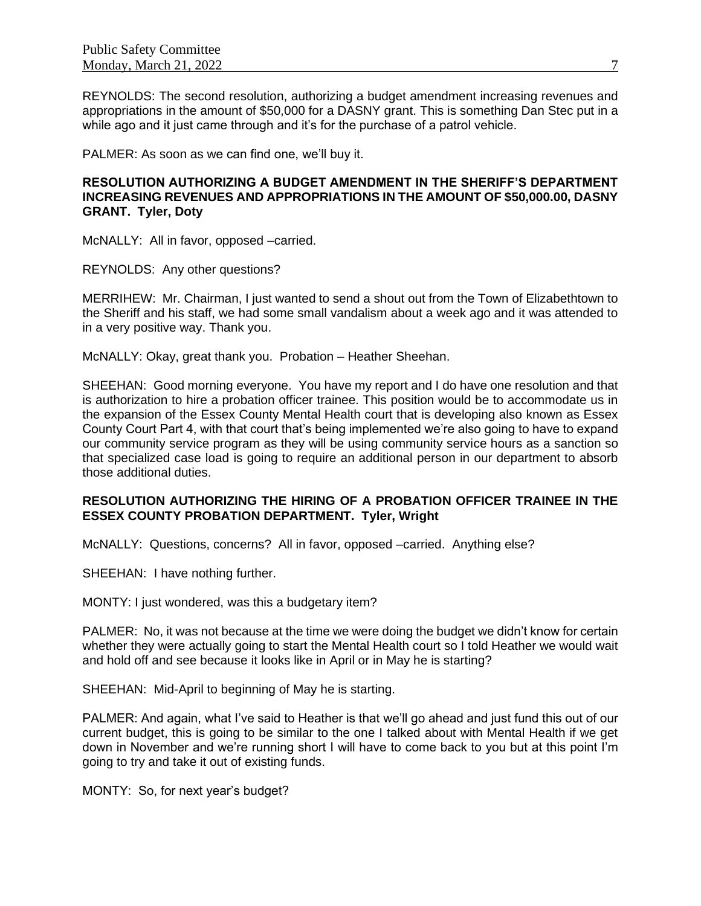REYNOLDS: The second resolution, authorizing a budget amendment increasing revenues and appropriations in the amount of \$50,000 for a DASNY grant. This is something Dan Stec put in a while ago and it just came through and it's for the purchase of a patrol vehicle.

PALMER: As soon as we can find one, we'll buy it.

# **RESOLUTION AUTHORIZING A BUDGET AMENDMENT IN THE SHERIFF'S DEPARTMENT INCREASING REVENUES AND APPROPRIATIONS IN THE AMOUNT OF \$50,000.00, DASNY GRANT. Tyler, Doty**

McNALLY: All in favor, opposed –carried.

REYNOLDS: Any other questions?

MERRIHEW: Mr. Chairman, I just wanted to send a shout out from the Town of Elizabethtown to the Sheriff and his staff, we had some small vandalism about a week ago and it was attended to in a very positive way. Thank you.

McNALLY: Okay, great thank you. Probation – Heather Sheehan.

SHEEHAN: Good morning everyone. You have my report and I do have one resolution and that is authorization to hire a probation officer trainee. This position would be to accommodate us in the expansion of the Essex County Mental Health court that is developing also known as Essex County Court Part 4, with that court that's being implemented we're also going to have to expand our community service program as they will be using community service hours as a sanction so that specialized case load is going to require an additional person in our department to absorb those additional duties.

# **RESOLUTION AUTHORIZING THE HIRING OF A PROBATION OFFICER TRAINEE IN THE ESSEX COUNTY PROBATION DEPARTMENT. Tyler, Wright**

McNALLY: Questions, concerns? All in favor, opposed –carried. Anything else?

SHEEHAN: I have nothing further.

MONTY: I just wondered, was this a budgetary item?

PALMER: No, it was not because at the time we were doing the budget we didn't know for certain whether they were actually going to start the Mental Health court so I told Heather we would wait and hold off and see because it looks like in April or in May he is starting?

SHEEHAN: Mid-April to beginning of May he is starting.

PALMER: And again, what I've said to Heather is that we'll go ahead and just fund this out of our current budget, this is going to be similar to the one I talked about with Mental Health if we get down in November and we're running short I will have to come back to you but at this point I'm going to try and take it out of existing funds.

MONTY: So, for next year's budget?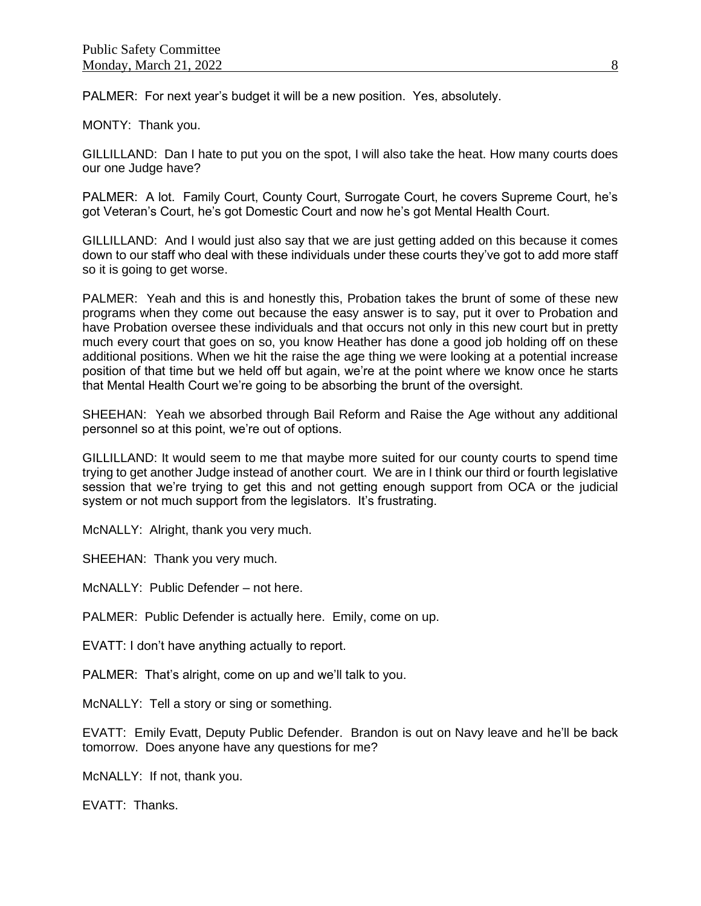PALMER: For next year's budget it will be a new position. Yes, absolutely.

MONTY: Thank you.

GILLILLAND: Dan I hate to put you on the spot, I will also take the heat. How many courts does our one Judge have?

PALMER: A lot. Family Court, County Court, Surrogate Court, he covers Supreme Court, he's got Veteran's Court, he's got Domestic Court and now he's got Mental Health Court.

GILLILLAND: And I would just also say that we are just getting added on this because it comes down to our staff who deal with these individuals under these courts they've got to add more staff so it is going to get worse.

PALMER: Yeah and this is and honestly this, Probation takes the brunt of some of these new programs when they come out because the easy answer is to say, put it over to Probation and have Probation oversee these individuals and that occurs not only in this new court but in pretty much every court that goes on so, you know Heather has done a good job holding off on these additional positions. When we hit the raise the age thing we were looking at a potential increase position of that time but we held off but again, we're at the point where we know once he starts that Mental Health Court we're going to be absorbing the brunt of the oversight.

SHEEHAN: Yeah we absorbed through Bail Reform and Raise the Age without any additional personnel so at this point, we're out of options.

GILLILLAND: It would seem to me that maybe more suited for our county courts to spend time trying to get another Judge instead of another court. We are in I think our third or fourth legislative session that we're trying to get this and not getting enough support from OCA or the judicial system or not much support from the legislators. It's frustrating.

McNALLY: Alright, thank you very much.

SHEEHAN: Thank you very much.

McNALLY: Public Defender – not here.

PALMER: Public Defender is actually here. Emily, come on up.

EVATT: I don't have anything actually to report.

PALMER: That's alright, come on up and we'll talk to you.

McNALLY: Tell a story or sing or something.

EVATT: Emily Evatt, Deputy Public Defender. Brandon is out on Navy leave and he'll be back tomorrow. Does anyone have any questions for me?

McNALLY: If not, thank you.

EVATT: Thanks.